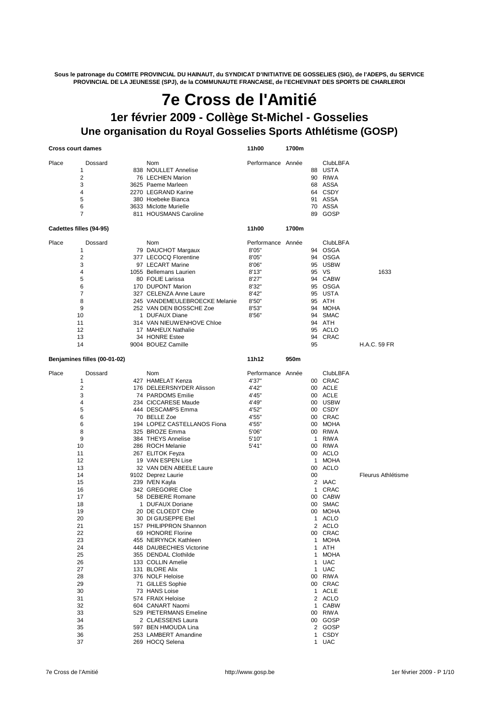**Sous le patronage du COMITE PROVINCIAL DU HAINAUT, du SYNDICAT D'INITIATIVE DE GOSSELIES (SIG), de l'ADEPS, du SERVICE PROVINCIAL DE LA JEUNESSE (SPJ), de la COMMUNAUTE FRANCAISE, de l'ECHEVINAT DES SPORTS DE CHARLEROI**

## **Une organisation du Royal Gosselies Sports Athlétisme (GOSP) 7e Cross de l'Amitié 1er février 2009 - Collège St-Michel - Gosselies**

**Cross court dames 11h00 1700m**

| Place | Dossard                      | Nom                                                     | Performance Année |       |              | <b>ClubLBFA</b>   |                     |
|-------|------------------------------|---------------------------------------------------------|-------------------|-------|--------------|-------------------|---------------------|
|       | 1                            | 838 NOULLET Annelise                                    |                   |       |              | 88 USTA           |                     |
|       | $\overline{2}$               | 76 LECHIEN Marion                                       |                   |       |              | 90 RIWA           |                     |
|       | 3                            | 3625 Paeme Marleen                                      |                   |       |              | 68 ASSA           |                     |
|       | 4                            | 2270 LEGRAND Karine                                     |                   |       |              | 64 CSDY           |                     |
|       | 5                            | 380 Hoebeke Bianca                                      |                   |       |              | 91 ASSA           |                     |
|       | 6                            | 3633 Miclotte Murielle                                  |                   |       |              | 70 ASSA           |                     |
|       | 7                            | 811 HOUSMANS Caroline                                   |                   |       | 89           | GOSP              |                     |
|       | Cadettes filles (94-95)      |                                                         | 11h00             | 1700m |              |                   |                     |
| Place | Dossard                      | Nom                                                     | Performance Année |       |              | <b>ClubLBFA</b>   |                     |
|       | 1                            | 79 DAUCHOT Margaux                                      | 8'05"             |       |              | 94 OSGA           |                     |
|       | 2                            | 377 LECOCQ Florentine                                   | 8'05"             |       |              | 94 OSGA           |                     |
|       | 3                            | 97 LECART Marine                                        | 8'06"             |       |              | 95 USBW           |                     |
|       | 4                            | 1055 Bellemans Laurien                                  | 8'13"             |       |              | 95 VS             | 1633                |
|       | 5                            | 80 FOLIE Larissa                                        | 8'27"             |       |              | 94 CABW           |                     |
|       | 6                            | 170 DUPONT Marion                                       | 8'32"             |       |              | 95 OSGA           |                     |
|       | 7                            | 327 CELENZA Anne Laure<br>245 VANDEMEULEBROECKE Melanie | 8'42"             |       |              | 95 USTA<br>95 ATH |                     |
|       | 8<br>9                       | 252 VAN DEN BOSSCHE Zoe                                 | 8'50"<br>8'53"    |       |              | 94 MOHA           |                     |
|       | 10                           | 1 DUFAUX Diane                                          | 8'56"             |       |              | 94 SMAC           |                     |
|       | 11                           | 314 VAN NIEUW ENHOVE Chloe                              |                   |       |              | 94 ATH            |                     |
|       | 12                           | 17 MAHEUX Nathalie                                      |                   |       |              | 95 ACLO           |                     |
|       | 13                           | 34 HONRE Estee                                          |                   |       | 94           | CRAC              |                     |
|       | 14                           | 9004 BOUEZ Camille                                      |                   |       | 95           |                   | <b>H.A.C. 59 FR</b> |
|       | Benjamines filles (00-01-02) |                                                         | 11h12             | 950m  |              |                   |                     |
| Place | Dossard                      | Nom                                                     | Performance Année |       |              | <b>ClubLBFA</b>   |                     |
|       | 1                            | 427 HAMELAT Kenza                                       | 4'37"             |       |              | 00 CRAC           |                     |
|       | $\overline{2}$               | 176 DELEERSNYDER Alisson                                | 4'42"             |       |              | 00 ACLE           |                     |
|       | 3                            | 74 PARDOMS Emilie                                       | 4'45"             |       |              | 00 ACLE           |                     |
|       | 4                            | 234 CICCARESE Maude                                     | 4'49"             |       |              | 00 USBW           |                     |
|       | 5                            | 444 DESCAMPS Emma                                       | 4'52"             |       |              | 00 CSDY           |                     |
|       | 6                            | 70 BELLE Zoe                                            | 4'55"             |       |              | 00 CRAC           |                     |
|       | 6                            | 194 LOPEZ CASTELLANOS Fiona                             | 4'55"             |       |              | 00 MOHA           |                     |
|       | 8                            | 325 BROZE Emma                                          | 5'06"             |       |              | 00 RIWA           |                     |
|       | 9                            | 384 THEYS Annelise                                      | 5'10"             |       |              | 1 RIWA            |                     |
|       | 10                           | 286 ROCH Melanie                                        | 5'41"             |       |              | 00 RIWA           |                     |
|       | 11<br>12                     | 267 ELITOK Feyza<br>19 VAN ESPEN Lise                   |                   |       | $\mathbf{1}$ | 00 ACLO<br>MOHA   |                     |
|       | 13                           | 32 VAN DEN ABEELE Laure                                 |                   |       | 00           | ACLO              |                     |
|       | 14                           | 9102 Deprez Laurie                                      |                   |       | 00           |                   | Fleurus Athlétisme  |
|       | 15                           | 239 IVEN Kayla                                          |                   |       |              | 2 IAAC            |                     |
|       | 16                           | 342 GREGOIRE Cloe                                       |                   |       | $\mathbf{1}$ | CRAC              |                     |
|       | 17                           | 58 DEBIERE Romane                                       |                   |       |              | 00 CABW           |                     |
|       | 18                           | 1 DUFAUX Doriane                                        |                   |       |              | 00 SMAC           |                     |
|       | 19                           | 20 DE CLOEDT Chie                                       |                   |       |              | 00 MOHA           |                     |
|       | 20                           | 30 DI GIUSEPPE Etel                                     |                   |       | 1            | ACLO              |                     |
|       | 21                           | 157 PHILIPPRON Shannon                                  |                   |       |              | 2 ACLO            |                     |
|       | 22                           | 69 HONORE Florine                                       |                   |       |              | 00 CRAC           |                     |
|       | 23                           | 455 NEIRYNCK Kathleen                                   |                   |       |              | 1 MOHA            |                     |
|       | 24                           | 448 DAUBECHIES Victorine                                |                   |       |              | 1 ATH             |                     |
|       | 25                           | 355 DENDAL Clothilde                                    |                   |       |              | 1 MOHA            |                     |
|       | 26                           | 133 COLLIN Amelie                                       |                   |       |              | 1 UAC             |                     |
|       | 27<br>28                     | 131 BLORE Alix<br>376 NOLF Heloise                      |                   |       |              | 1 UAC<br>00 RIWA  |                     |
|       | 29                           | 71 GILLES Sophie                                        |                   |       |              | 00 CRAC           |                     |
|       | 30                           | 73 HANS Loise                                           |                   |       |              | 1 ACLE            |                     |
|       | 31                           | 574 FRAIX Heloise                                       |                   |       |              | 2 ACLO            |                     |
|       | 32                           | 604 CANART Naomi                                        |                   |       |              | 1 CABW            |                     |
|       | 33                           | 529 PIETERMANS Emeline                                  |                   |       |              | 00 RIWA           |                     |
|       | 34                           | 2 CLAESSENS Laura                                       |                   |       |              | 00 GOSP           |                     |
|       | 35                           | 597 BEN HMOUDA Lina                                     |                   |       |              | 2 GOSP            |                     |
|       | 36                           | 253 LAMBERT Amandine                                    |                   |       |              | 1 CSDY            |                     |
|       | 37                           | 269 HOCQ Selena                                         |                   |       |              | 1 UAC             |                     |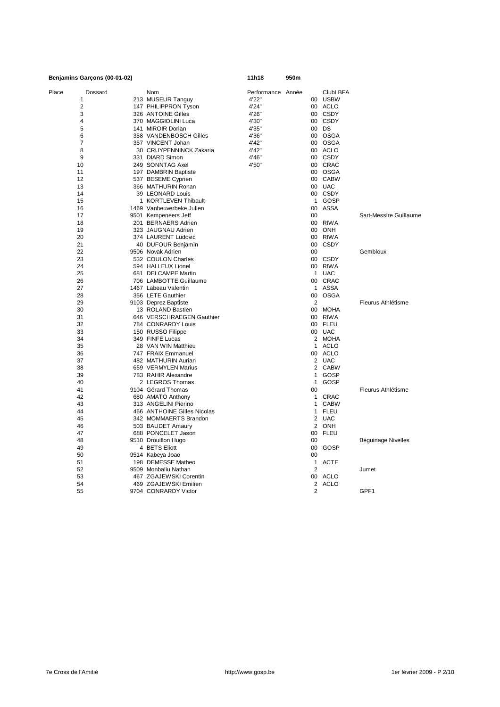|       | Benjamins Garçons (00-01-02) |                                        | 11h18             | 950m |                |                 |                        |
|-------|------------------------------|----------------------------------------|-------------------|------|----------------|-----------------|------------------------|
| Place | Dossard                      | Nom                                    | Performance Année |      |                | <b>ClubLBFA</b> |                        |
|       | 1                            | 213 MUSEUR Tanguy                      | 4'22"             |      |                | 00 USBW         |                        |
|       | $\overline{2}$               | 147 PHILIPPRON Tyson                   | 4'24"             |      | 00             | <b>ACLO</b>     |                        |
|       | 3                            | 326 ANTOINE Gilles                     | 4'26"             |      | 00             | <b>CSDY</b>     |                        |
|       | 4                            | 370 MAGGIOLINI Luca                    | 4'30"             |      | 00             | CSDY            |                        |
|       | 5                            | 141 MIROIR Dorian                      | 4'35"             |      |                | 00 DS           |                        |
|       | 6                            | 358 VANDENBOSCH Gilles                 | 4'36"             |      | 00             | OSGA            |                        |
|       | $\overline{7}$               | 357 VINCENT Johan                      | 4'42"             |      | 00             | OSGA            |                        |
|       | 8                            | 30 CRUYPENNINCK Zakaria                | 4'42"             |      |                | 00 ACLO         |                        |
|       | 9                            | 331 DIARD Simon                        | 4'46"             |      | 00             | CSDY            |                        |
|       | 10                           | 249 SONNTAG Axel                       | 4'50"             |      | 00             | CRAC            |                        |
|       | 11                           | 197 DAMBRIN Baptiste                   |                   |      | 00             | OSGA            |                        |
|       | 12                           | 537 BESEME Cyprien                     |                   |      |                | 00 CABW         |                        |
|       | 13                           |                                        |                   |      | $00\,$         | UAC             |                        |
|       | 14                           | 366 MATHURIN Ronan<br>39 LEONARD Louis |                   |      |                | CSDY            |                        |
|       |                              |                                        |                   |      | 00             |                 |                        |
|       | 15                           | 1 KORTLEVEN Thibault                   |                   |      | $\mathbf{1}$   | GOSP            |                        |
|       | 16                           | 1469 Vanheuverbeke Julien              |                   |      | 00             | <b>ASSA</b>     |                        |
|       | 17                           | 9501 Kempeneers Jeff                   |                   |      | 00             |                 | Sart-Messire Guillaume |
|       | 18                           | 201 BERNAERS Adrien                    |                   |      | $00\,$         | <b>RIWA</b>     |                        |
|       | 19                           | 323 JAUGNAU Adrien                     |                   |      | 00             | ONH             |                        |
|       | 20                           | 374 LAURENT Ludovic                    |                   |      | 00             | <b>RIWA</b>     |                        |
|       | 21                           | 40 DUFOUR Benjamin                     |                   |      | 00             | <b>CSDY</b>     |                        |
|       | 22                           | 9506 Novak Adrien                      |                   |      | 00             |                 | Gembloux               |
|       | 23                           | 532 COULON Charles                     |                   |      | $00\,$         | CSDY            |                        |
|       | 24                           | 594 HALLEUX Lionel                     |                   |      | 00             | RIWA            |                        |
|       | 25                           | 681 DELCAMPE Martin                    |                   |      |                | 1 UAC           |                        |
|       | 26                           | 706 LAMBOTTE Guillaume                 |                   |      |                | 00 CRAC         |                        |
|       | 27                           | 1467 Labeau Valentin                   |                   |      | 1              | <b>ASSA</b>     |                        |
|       | 28                           | 356 LETE Gauthier                      |                   |      | 00             | <b>OSGA</b>     |                        |
|       | 29                           | 9103 Deprez Baptiste                   |                   |      | $\overline{2}$ |                 | Fleurus Athlétisme     |
|       | 30                           | 13 ROLAND Bastien                      |                   |      | 00             | <b>MOHA</b>     |                        |
|       | 31                           | 646 VERSCHRAEGEN Gauthier              |                   |      | 00             | <b>RIWA</b>     |                        |
|       | 32                           | 784 CONRARDY Louis                     |                   |      |                | 00 FLEU         |                        |
|       | 33                           | 150 RUSSO Filippe                      |                   |      |                | 00 UAC          |                        |
|       | 34                           | 349 FINFE Lucas                        |                   |      | $\overline{2}$ | MOHA            |                        |
|       | 35                           | 28 VAN WIN Matthieu                    |                   |      | 1              | <b>ACLO</b>     |                        |
|       | 36                           | 747 FRAIX Emmanuel                     |                   |      |                | 00 ACLO         |                        |
|       | 37                           | 482 MATHURIN Aurian                    |                   |      |                | 2 UAC           |                        |
|       |                              |                                        |                   |      | 2              | CABW            |                        |
|       | 38                           | 659 VERMYLEN Marius                    |                   |      |                |                 |                        |
|       | 39                           | 783 RAHIR Alexandre                    |                   |      | $\mathbf{1}$   | GOSP            |                        |
|       | 40                           | 2 LEGROS Thomas                        |                   |      | 1              | GOSP            |                        |
|       | 41                           | 9104 Gérard Thomas                     |                   |      | 00             |                 | Fleurus Athlétisme     |
|       | 42                           | 680 AMATO Anthony                      |                   |      | 1              | CRAC            |                        |
|       | 43                           | 313 ANGELINI Pierino                   |                   |      | 1              | <b>CABW</b>     |                        |
|       | 44                           | 466 ANTHOINE Gilles Nicolas            |                   |      | 1              | <b>FLEU</b>     |                        |
|       | 45                           | 342 MOMMAERTS Brandon                  |                   |      |                | 2 UAC           |                        |
|       | 46                           | 503 BAUDET Amaury                      |                   |      |                | 2 ONH           |                        |
|       | 47                           | 688 PONCELET Jason                     |                   |      | 00             | <b>FLEU</b>     |                        |
|       | 48                           | 9510 Drouillon Hugo                    |                   |      | 00             |                 | Béguinage Nivelles     |
|       | 49                           | 4 BETS Eliott                          |                   |      | 00             | GOSP            |                        |
|       | 50                           | 9514 Kabeya Joao                       |                   |      | 00             |                 |                        |
|       | 51                           | 198 DEMESSE Matheo                     |                   |      | 1              | <b>ACTE</b>     |                        |
|       | 52                           | 9509 Monbaliu Nathan                   |                   |      | 2              |                 | Jumet                  |
|       | 53                           | 467 ZGAJEWSKI Corentin                 |                   |      | 00             | ACLO            |                        |
|       | 54                           | 469 ZGAJEW SKI Emilien                 |                   |      | 2              | ACLO            |                        |
|       | 55                           | 9704 CONRARDY Victor                   |                   |      | $\overline{2}$ |                 | GPF1                   |
|       |                              |                                        |                   |      |                |                 |                        |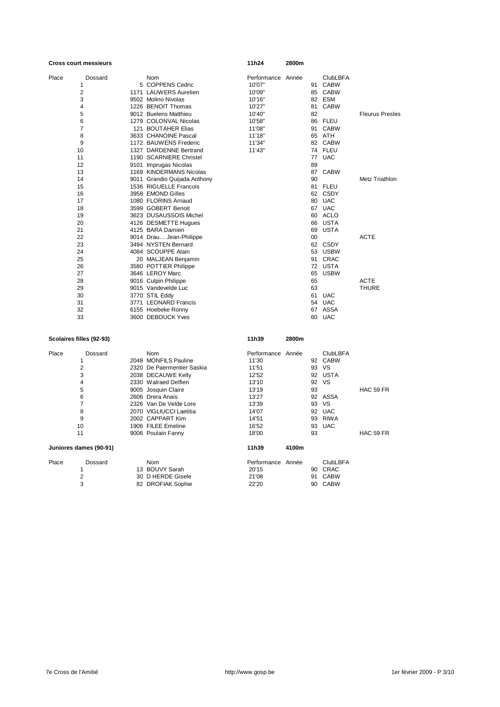|       | <b>Cross court messieurs</b> |                              | 11h24             | 2800m |    |                 |                        |
|-------|------------------------------|------------------------------|-------------------|-------|----|-----------------|------------------------|
| Place | Dossard                      | Nom                          | Performance Année |       |    | <b>ClubLBFA</b> |                        |
|       | 1                            | 5 COPPENS Cedric             | 10'07"            |       |    | 91 CABW         |                        |
|       | 2                            | 1171 LAUWERS Aurelien        | 10'09"            |       |    | 85 CABW         |                        |
|       | 3                            | 9502 Molino Nivolas          | 10'16"            |       |    | 82 ESM          |                        |
|       | 4                            | 1226 BENOIT Thomas           | 10'27"            |       |    | 81 CABW         |                        |
|       | 5                            | 9012 Buelens Matthieu        | 10'40"            |       | 82 |                 | <b>Fleurus Presles</b> |
|       | 6                            | 1279 COLONVAL Nicolas        | 10'58"            |       |    | 86 FLEU         |                        |
|       | $\overline{7}$               | 121 BOUTAHER Elias           | 11'08"            |       |    | 91 CABW         |                        |
|       | 8                            | 3633 CHANOINE Pascal         | 11'18"            |       |    | 65 ATH          |                        |
|       | 9                            | 1172 BAUWENS Frederic        | 11'34"            |       |    | 82 CABW         |                        |
|       | 10                           | 1327 DARDENNE Bertrand       | 11'43"            |       |    | 74 FLEU         |                        |
|       | 11                           | 1190 SCARNIERE Christel      |                   |       |    | 77 UAC          |                        |
|       | 12                           | 9101 Imprugas Nicolas        |                   |       | 89 |                 |                        |
|       | 13                           | 1169 KINDERMANS Nicolas      |                   |       |    | 87 CABW         |                        |
|       | 14                           | 9011 Grandio Quijada Anthony |                   |       | 90 |                 | Metz Triathlon         |
|       | 15                           | 1536 RIGUELLE Francois       |                   |       |    | 81 FLEU         |                        |
|       | 16                           | 3958 EMOND Gilles            |                   |       |    | 62 CSDY         |                        |
|       | 17                           | 1080 FLORINS Arnaud          |                   |       |    | 80 UAC          |                        |
|       | 18                           | 3599 GOBERT Benoit           |                   |       |    | 67 UAC          |                        |
|       | 19                           | 3623 DUSAUSSOIS Michel       |                   |       |    | 60 ACLO         |                        |
|       | 20                           | 4126 DESMETTE Hugues         |                   |       |    | 66 USTA         |                        |
|       | 21                           | 4125 BARA Damien             |                   |       | 69 | USTA            |                        |
|       | 22                           | 9014 Drau Jean-Philippe      |                   |       | 00 |                 | <b>ACTE</b>            |
|       | 23                           | 3494 NYSTEN Bernard          |                   |       |    | 62 CSDY         |                        |
|       | 24                           | 4084 SCOUPPE Alain           |                   |       |    | 53 USBW         |                        |
|       | 25                           | 20 MALJEAN Benjamin          |                   |       |    | 91 CRAC         |                        |
|       | 26                           | 3580 POTTIER Philippe        |                   |       |    | 72 USTA         |                        |
|       | 27                           | 3646 LEROY Marc              |                   |       | 65 | <b>USBW</b>     |                        |
|       | 28                           | 9016 Culpin Philippe         |                   |       | 65 |                 | <b>ACTE</b>            |
|       | 29                           | 9015 Vandevelde Luc          |                   |       | 63 |                 | <b>THURE</b>           |
|       | 30                           | 3770 STIL Eddy               |                   |       |    | 61 UAC          |                        |
|       | 31                           | 3771 LEONARD Francis         |                   |       |    | 54 UAC          |                        |
|       | 32                           | 6155 Hoebeke Ronny           |                   |       |    | 67 ASSA         |                        |
|       | 33                           | 3600 DEBOUCK Yves            |                   |       | 60 | <b>UAC</b>      |                        |
|       | Scolaires filles (92-93)     |                              | 11h39             | 2800m |    |                 |                        |
| Place | Dossard                      | Nom                          | Performance Année |       |    | <b>ClubLBFA</b> |                        |
|       | 1                            | 2048 MONFILS Pauline         | 11'30             |       |    | 92 CABW         |                        |
|       | 2                            | 2320 De Paermentier Saskia   | 11'51             |       |    | 93 VS           |                        |
|       | 3                            | 2038 DECAUWE Kelly           | 12'52             |       |    | 92 USTA         |                        |
|       | 4                            | 2330 Walraed Delfien         | 13'10             |       | 92 | VS              |                        |
|       | 5                            | 9005 Josquin Claire          | 13'19             |       | 93 |                 | HAC 59 FR              |

6 2606 Drera Anais 13'27 92 ASSA 7 2326 Van De Velde Lore 13'39 93 VS 8 2070 VIGLIUCCI Laetitia 14'07 92 UAC 9 2002 CAPPART Kim 14'51 93 RIWA 10 1906 FILEE Emeline 16'52 93 UAC

Place Dossard Nom Nom Performance Année ClubLBFA<br>190 CRAC 1 13 BOUVY Sarah 1 20'15 90 CRAC 1 1 13 BOUVY Sarah 1 20'15 90 CRAC<br>
2 30 D HERDE Gisele 21'08 91 CABW<br>
3 82 DROFIAK Sophie 22'20 90 CABW 2 30 D HERDE Gisele 21'08 91 CABW 3 82 DROFIAK Sophie 22'20 90 CABW

**Juniores dames (90-91) 11h39 4100m**

11 9006 Poulain Fanny 18'00 93 HAC 59 FR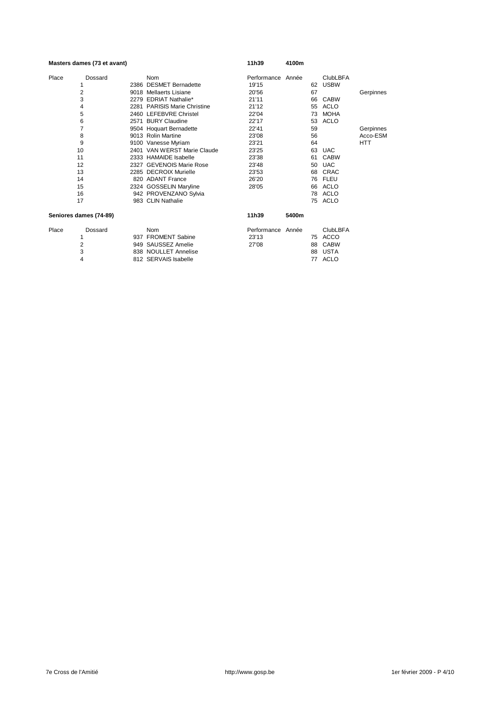|       | Masters dames (73 et avant) |                              | 11h39             | 4100m |    |                 |            |
|-------|-----------------------------|------------------------------|-------------------|-------|----|-----------------|------------|
| Place | Dossard                     | Nom                          | Performance Année |       |    | <b>ClubLBFA</b> |            |
|       |                             | 2386 DESMET Bernadette       | 19'15             |       | 62 | <b>USBW</b>     |            |
|       | 2                           | 9018 Mellaerts Lisiane       | 20'56             |       | 67 |                 | Gerpinnes  |
|       | 3                           | 2279 EDRIAT Nathalie*        | 21'11             |       | 66 | <b>CABW</b>     |            |
|       | 4                           | 2281 PARISIS Marie Christine | 21'12             |       | 55 | ACLO            |            |
|       | 5                           | 2460 LEFEBVRE Christel       | 22'04             |       | 73 | <b>MOHA</b>     |            |
|       | 6                           | 2571 BURY Claudine           | 22'17             |       | 53 | ACLO            |            |
|       | 7                           | 9504 Hoquart Bernadette      | 22'41             |       | 59 |                 | Gerpinnes  |
|       | 8                           | 9013 Rolin Martine           | 23'08             |       | 56 |                 | Acco-ESM   |
|       | 9                           | 9100 Vanesse Myriam          | 23'21             |       | 64 |                 | <b>HTT</b> |
|       | 10                          | 2401 VAN WERST Marie Claude  | 23'25             |       | 63 | <b>UAC</b>      |            |
|       | 11                          | 2333 HAMAIDE Isabelle        | 23'38             |       | 61 | <b>CABW</b>     |            |
|       | 12                          | 2327 GEVENOIS Marie Rose     | 23'48             |       | 50 | <b>UAC</b>      |            |
|       | 13                          | 2285 DECROIX Murielle        | 23'53             |       | 68 | CRAC            |            |
|       | 14                          | 820 ADANT France             | 26'20             |       | 76 | <b>FLEU</b>     |            |
|       | 15                          | 2324 GOSSELIN Maryline       | 28'05             |       | 66 | ACLO            |            |
|       | 16                          | 942 PROVENZANO Sylvia        |                   |       | 78 | ACLO            |            |
|       | 17                          | 983 CLIN Nathalie            |                   |       | 75 | ACLO            |            |
|       | Seniores dames (74-89)      |                              | 11h39             | 5400m |    |                 |            |
|       |                             |                              |                   |       |    |                 |            |

Place Dossard Nom Performance Année ClubLBFA 1 937 FROMENT Sabine 23'13 75 ACCO 2 949 SAUSSEZ Amelie 27'08 88 CABW 3 838 NOULLET Annelise 88 USTA 4 812 SERVAIS Isabelle 77 ACLO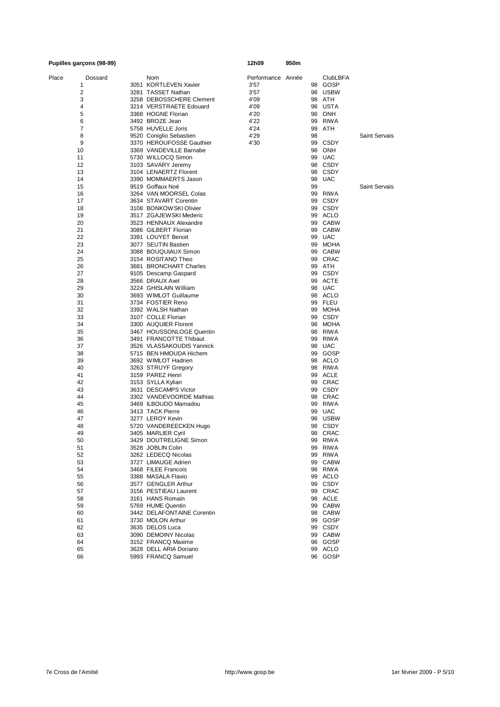| Pupilles garçons (98-99) |                                                     | 12h09             | 950m |    |                    |                      |
|--------------------------|-----------------------------------------------------|-------------------|------|----|--------------------|----------------------|
| Place<br>Dossard         | Nom                                                 | Performance Année |      |    | <b>ClubLBFA</b>    |                      |
| 1                        | 3051 KORTLEVEN Xavier                               | 3'57              |      | 98 | GOSP               |                      |
| 2                        | 3281 TASSET Nathan                                  | 3'57              |      |    | 98 USBW            |                      |
| 3                        | 3258 DEBOSSCHERE Clement                            | 4'09              |      |    | 98 ATH             |                      |
| 4                        | 3214 VERSTRAETE Edouard                             | 4'09              |      | 98 | USTA               |                      |
| 5                        | 3368 HOGNE Florian                                  | 4'20              |      |    | 98 ONH             |                      |
| 6                        | 3492 BROZE Jean                                     | 4'22              |      | 99 | <b>RIWA</b>        |                      |
| 7                        | 5758 HUVELLE Joris                                  | 4'24              |      | 99 | ATH                |                      |
| 8                        | 9520 Coniglio Sebastien                             | 4'29              |      | 98 |                    | <b>Saint Servais</b> |
| 9<br>10                  | 3370 HEROUFOSSE Gauthier<br>3369 VANDEVILLE Barnabe | 4'30              |      | 98 | 99 CSDY            |                      |
| 11                       | 5730 WILLOCQ Simon                                  |                   |      | 99 | ONH<br><b>UAC</b>  |                      |
| 12                       | 3103 SAVARY Jeremy                                  |                   |      |    | 98 CSDY            |                      |
| 13                       | 3104 LENAERTZ Florent                               |                   |      |    | 98 CSDY            |                      |
| 14                       | 3390 MOMMAERTS Jason                                |                   |      |    | 98 UAC             |                      |
| 15                       | 9519 Goffaux Noé                                    |                   |      | 99 |                    | <b>Saint Servais</b> |
| 16                       | 3264 VAN MOORSEL Colas                              |                   |      |    | 99 RIWA            |                      |
| 17                       | 3634 STAVART Corentin                               |                   |      |    | 99 CSDY            |                      |
| 18                       | 3108 BONKOWSKI Olivier                              |                   |      |    | 99 CSDY            |                      |
| 19                       | 3517 ZGAJEWSKI Mederic                              |                   |      |    | 99 ACLO            |                      |
| 20                       | 3523 HENNAUX Alexandre                              |                   |      |    | 99 CABW            |                      |
| 21                       | 3086 GILBERT Florian                                |                   |      |    | 99 CABW            |                      |
| 22                       | 3391 LOUYET Benoit                                  |                   |      | 99 | <b>UAC</b>         |                      |
| 23                       | 3077 SEUTIN Bastien                                 |                   |      |    | 99 MOHA            |                      |
| 24                       | 3088 BOUQUIAUX Simon                                |                   |      |    | 99 CABW            |                      |
| 25                       | 3154 ROSITANO Theo                                  |                   |      |    | 99 CRAC            |                      |
| 26                       | 3681 BRONCHART Charles                              |                   |      |    | 99 ATH             |                      |
| 27                       | 9105 Descamp Gaspard                                |                   |      |    | 99 CSDY            |                      |
| 28                       | 3566 DRAUX Axel                                     |                   |      |    | 99 ACTE            |                      |
| 29                       | 3224 GHISLAIN William                               |                   |      |    | 98 UAC             |                      |
| 30                       | 3693 WIMLOT Guillaume                               |                   |      |    | 98 ACLO            |                      |
| 31                       | 3734 FOSTIER Reno                                   |                   |      |    | 99 FLEU            |                      |
| 32                       | 3392 WALSH Nathan                                   |                   |      |    | 99 MOHA            |                      |
| 33                       | 3107 COLLE Florian                                  |                   |      |    | 99 CSDY            |                      |
| 34                       | 3300 AUQUIER Florent                                |                   |      |    | 98 MOHA            |                      |
| 35                       | 3467 HOUSSONLOGE Quentin                            |                   |      |    | 98 RIWA            |                      |
| 36                       | 3491 FRANCOTTE Thibaut                              |                   |      |    | 99 RIWA            |                      |
| 37                       | 3526 VLASSAKOUDIS Yannick                           |                   |      |    | 98 UAC             |                      |
| 38                       | 5715 BEN HMOUDA Hichem                              |                   |      |    | 99 GOSP<br>98 ACLO |                      |
| 39<br>40                 | 3692 WIMLOT Hadrien<br>3263 STRUYF Gregory          |                   |      |    | 98 RIWA            |                      |
| 41                       | 3159 PAREZ Henri                                    |                   |      |    | 99 ACLE            |                      |
| 42                       | 3153 SYLLA Kylian                                   |                   |      |    | 99 CRAC            |                      |
| 43                       | 3631 DESCAMPS Victor                                |                   |      |    | 99 CSDY            |                      |
| 44                       | 3302 VANDEVOORDE Mathias                            |                   |      |    | 98 CRAC            |                      |
| 45                       | 3469 ILBOUDO Mamadou                                |                   |      |    | 99 RIWA            |                      |
| 46                       | 3413 TACK Pierre                                    |                   |      |    | 99 UAC             |                      |
| 47                       | 3277 LEROY Kevin                                    |                   |      |    | 98 USBW            |                      |
| 48                       | 5720 VANDEREECKEN Hugo                              |                   |      |    | 98 CSDY            |                      |
| 49                       | 3405 MARLIER Cyril                                  |                   |      |    | 98 CRAC            |                      |
| 50                       | 3429 DOUTRELIGNE Simon                              |                   |      |    | 99 RIWA            |                      |
| 51                       | 3528 JOBLIN Colin                                   |                   |      |    | 99 RIWA            |                      |
| 52                       | 3262 LEDECQ Nicolas                                 |                   |      |    | 99 RIWA            |                      |
| 53                       | 3727 LIMAUGE Adrien                                 |                   |      |    | 99 CABW            |                      |
| 54                       | 3468 FILEE Francois                                 |                   |      |    | 98 RIWA            |                      |
| 55                       | 3388 MASALA Flavio                                  |                   |      |    | 99 ACLO            |                      |
| 56                       | 3577 GENGLER Arthur                                 |                   |      |    | 99 CSDY            |                      |
| 57                       | 3156 PESTIEAU Laurent                               |                   |      |    | 99 CRAC            |                      |
| 58                       | 3161 HANS Romain                                    |                   |      |    | 98 ACLE            |                      |
| 59                       | 5769 HUME Quentin                                   |                   |      |    | 99 CABW            |                      |
| 60                       | 3442 DELAFONTAINE Corentin                          |                   |      |    | 98 CABW            |                      |
| 61                       | 3730 MOLON Arthur                                   |                   |      |    | 99 GOSP            |                      |
| 62                       | 3635 DELOS Luca                                     |                   |      |    | 99 CSDY            |                      |
| 63                       | 3090 DEMOINY Nicolas                                |                   |      |    | 99 CABW            |                      |
| 64                       | 3152 FRANCQ Maxime                                  |                   |      |    | 98 GOSP            |                      |
| 65                       | 3628 DELL ARIA Doriano                              |                   |      |    | 99 ACLO            |                      |
| 66                       | 5993 FRANCQ Samuel                                  |                   |      |    | 96 GOSP            |                      |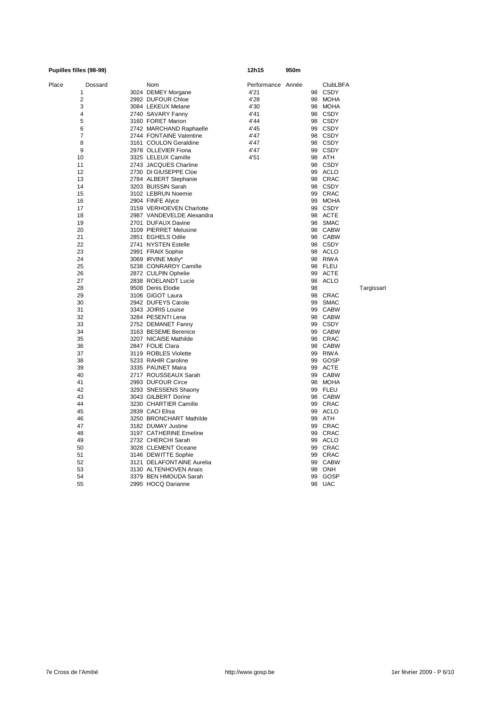|       | Pupilles filles (98-99) |  |                           | 12h15             | 950m |    |                 |            |
|-------|-------------------------|--|---------------------------|-------------------|------|----|-----------------|------------|
| Place | Dossard                 |  | Nom                       | Performance Année |      |    | <b>ClubLBFA</b> |            |
| 1     |                         |  | 3024 DEMEY Morgane        | 4'21              |      | 98 | CSDY            |            |
| 2     |                         |  | 2992 DUFOUR Chloe         | 4'28              |      | 98 | MOHA            |            |
| 3     |                         |  | 3084 LEKEUX Melane        | 4'30              |      |    | 98 MOHA         |            |
| 4     |                         |  | 2740 SAVARY Fanny         | 4'41              |      |    | 98 CSDY         |            |
| 5     |                         |  | 3160 FORET Marion         | 4'44              |      |    | 98 CSDY         |            |
| 6     |                         |  | 2742 MARCHAND Raphaelle   | 4'45              |      |    | 99 CSDY         |            |
| 7     |                         |  | 2744 FONTAINE Valentine   | 4'47              |      |    | 98 CSDY         |            |
| 8     |                         |  | 3161 COULON Geraldine     | 4'47              |      |    | 98 CSDY         |            |
| 9     |                         |  | 2978 OLLEVIER Fiona       | 4'47              |      |    | 99 CSDY         |            |
| 10    |                         |  | 3325 LELEUX Camille       | 4'51              |      |    | 98 ATH          |            |
| 11    |                         |  | 2743 JACQUES Charline     |                   |      |    | 98 CSDY         |            |
| 12    |                         |  | 2730 DI GIUSEPPE Cloe     |                   |      |    | 99 ACLO         |            |
| 13    |                         |  | 2784 ALBERT Stephanie     |                   |      |    | 98 CRAC         |            |
| 14    |                         |  | 3203 BUISSIN Sarah        |                   |      |    | 98 CSDY         |            |
| 15    |                         |  | 3102 LEBRUN Noemie        |                   |      |    | 99 CRAC         |            |
| 16    |                         |  | 2904 FINFE Alyce          |                   |      |    | 99 MOHA         |            |
| 17    |                         |  | 3159 VERHOEVEN Charlotte  |                   |      |    | 99 CSDY         |            |
| 18    |                         |  | 2987 VANDEVELDE Alexandra |                   |      |    | 98 ACTE         |            |
| 19    |                         |  | 2701 DUFAUX Davine        |                   |      |    | 98 SMAC         |            |
| 20    |                         |  | 3109 PIERRET Melusine     |                   |      |    | 98 CABW         |            |
| 21    |                         |  | 2851 EGHELS Odile         |                   |      |    | 98 CABW         |            |
| 22    |                         |  | 2741 NYSTEN Estelle       |                   |      |    | 98 CSDY         |            |
| 23    |                         |  | 2991 FRAIX Sophie         |                   |      |    | 98 ACLO         |            |
| 24    |                         |  | 3069 IRVINE Molly*        |                   |      |    | 98 RIWA         |            |
| 25    |                         |  | 5238 CONRARDY Camille     |                   |      |    | 98 FLEU         |            |
| 26    |                         |  | 2872 CULPIN Ophelie       |                   |      | 99 | ACTE            |            |
| 27    |                         |  | 2838 ROELANDT Lucie       |                   |      | 98 | ACLO            |            |
| 28    |                         |  | 9508 Denis Elodie         |                   |      | 98 |                 | Targissart |
| 29    |                         |  | 3106 GIGOT Laura          |                   |      | 98 | CRAC            |            |
| 30    |                         |  | 2942 DUFEYS Carole        |                   |      | 99 | <b>SMAC</b>     |            |
| 31    |                         |  | 3343 JOIRIS Louise        |                   |      | 99 | <b>CABW</b>     |            |
| 32    |                         |  | 3284 PESENTI Lena         |                   |      |    | 98 CABW         |            |
| 33    |                         |  | 2752 DEMANET Fanny        |                   |      |    | 99 CSDY         |            |
| 34    |                         |  | 3163 BESEME Berenice      |                   |      |    | 99 CABW         |            |
| 35    |                         |  | 3207 NICAISE Mathilde     |                   |      |    | 98 CRAC         |            |
| 36    |                         |  | 2847 FOLIE Clara          |                   |      |    | 98 CABW         |            |
| 37    |                         |  | 3119 ROBLES Violette      |                   |      |    | 99 RIWA         |            |
| 38    |                         |  | 5233 RAHIR Caroline       |                   |      | 99 | GOSP            |            |
| 39    |                         |  | 3335 PAUNET Maira         |                   |      |    | 99 ACTE         |            |
| 40    |                         |  | 2717 ROUSSEAUX Sarah      |                   |      |    | 99 CABW         |            |
| 41    |                         |  | 2993 DUFOUR Circe         |                   |      |    | 98 MOHA         |            |
| 42    |                         |  | 3293 SNESSENS Shaony      |                   |      |    | 99 FLEU         |            |
| 43    |                         |  | 3043 GILBERT Dorine       |                   |      |    | 98 CABW         |            |
| 44    |                         |  | 3230 CHARTIER Camille     |                   |      |    | 99 CRAC         |            |
| 45    |                         |  | 2839 CACI Elisa           |                   |      | 99 | ACLO            |            |
| 46    |                         |  | 3250 BRONCHART Mathilde   |                   |      |    | 99 ATH          |            |
| 47    |                         |  | 3182 DUMAY Justine        |                   |      |    | 99 CRAC         |            |
| 48    |                         |  | 3197 CATHERINE Emeline    |                   |      |    | 99 CRAC         |            |
| 49    |                         |  | 2732 CHERCHI Sarah        |                   |      |    | 99 ACLO         |            |
| 50    |                         |  | 3028 CLEMENT Oceane       |                   |      |    | 99 CRAC         |            |
| 51    |                         |  | 3146 DEWITTE Sophie       |                   |      |    | 99 CRAC         |            |
| 52    |                         |  | 3121 DELAFONTAINE Aurelia |                   |      | 99 | <b>CABW</b>     |            |
| 53    |                         |  | 3130 ALTENHOVEN Anais     |                   |      | 98 | ONH             |            |
| 54    |                         |  | 3379 BEN HMOUDA Sarah     |                   |      | 99 | GOSP            |            |
| 55    |                         |  | 2995 HOCQ Darianne        |                   |      |    | 98 UAC          |            |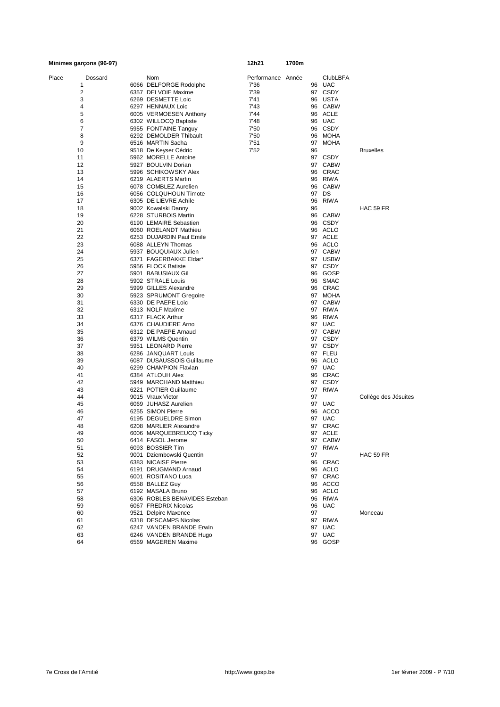|       | Minimes garçons (96-97) |                               | 12h21             | 1700m |    |                 |                      |
|-------|-------------------------|-------------------------------|-------------------|-------|----|-----------------|----------------------|
| Place | Dossard                 | Nom                           | Performance Année |       |    | <b>ClubLBFA</b> |                      |
|       | 1                       | 6066 DELFORGE Rodolphe        | 7'36              |       |    | 96 UAC          |                      |
|       | 2                       | 6357 DELVOIE Maxime           | 7'39              |       |    | 97 CSDY         |                      |
|       | 3                       | 6269 DESMETTE Loic            | 7'41              |       |    | 96 USTA         |                      |
|       | 4                       | 6297 HENNAUX Loic             | 7'43              |       |    | 96 CABW         |                      |
|       | 5                       | 6005 VERMOESEN Anthony        | 7'44              |       |    | 96 ACLE         |                      |
|       | 6                       | 6302 WILLOCQ Baptiste         | 7'48              |       |    | 96 UAC          |                      |
|       | 7                       | 5955 FONTAINE Tanguy          | 7'50              |       |    | 96 CSDY         |                      |
|       | 8                       | 6292 DEMOLDER Thibault        | 7'50              |       |    | 96 MOHA         |                      |
|       | 9                       | 6516 MARTIN Sacha             | 7'51              |       |    | 97 MOHA         |                      |
|       | 10                      | 9518 De Keyser Cédric         | 7'52              |       | 96 |                 | <b>Bruxelles</b>     |
|       | 11                      | 5962 MORELLE Antoine          |                   |       |    | 97 CSDY         |                      |
|       | 12                      | 5927 BOULVIN Dorian           |                   |       |    | 97 CABW         |                      |
|       | 13                      | 5996 SCHIKOWSKY Alex          |                   |       |    | 96 CRAC         |                      |
|       | 14                      | 6219 ALAERTS Martin           |                   |       |    | 96 RIWA         |                      |
|       | 15                      | 6078 COMBLEZ Aurelien         |                   |       |    | 96 CABW         |                      |
|       | 16                      | 6056 COLQUHOUN Timote         |                   |       |    | 97 DS           |                      |
|       | 17                      | 6305 DE LIEVRE Achile         |                   |       |    | 96 RIWA         |                      |
|       | 18                      | 9002 Kowalski Danny           |                   |       | 96 |                 | HAC 59 FR            |
|       | 19                      | 6228 STURBOIS Martin          |                   |       |    | 96 CABW         |                      |
|       | 20                      | 6190 LEMAIRE Sebastien        |                   |       |    | 96 CSDY         |                      |
|       | 21                      | 6060 ROELANDT Mathieu         |                   |       |    | 96 ACLO         |                      |
|       | 22                      | 6253 DUJARDIN Paul Emile      |                   |       |    | 97 ACLE         |                      |
|       | 23                      | 6088 ALLEYN Thomas            |                   |       |    | 96 ACLO         |                      |
|       | 24                      | 5937 BOUQUIAUX Julien         |                   |       |    | 97 CABW         |                      |
|       | 25                      | 6371 FAGERBAKKE Eldar*        |                   |       |    | 97 USBW         |                      |
|       | 26                      | 5956 FLOCK Batiste            |                   |       |    | 97 CSDY         |                      |
|       | 27                      | 5901 BABUSIAUX Gil            |                   |       |    | 96 GOSP         |                      |
|       | 28                      | 5902 STRALE Louis             |                   |       |    | 96 SMAC         |                      |
|       | 29                      | 5999 GILLES Alexandre         |                   |       |    | 96 CRAC         |                      |
|       | 30                      | 5923 SPRUMONT Gregoire        |                   |       |    | 97 MOHA         |                      |
|       | 31                      | 6330 DE PAEPE Loic            |                   |       |    | 97 CABW         |                      |
|       | 32                      | 6313 NOLF Maxime              |                   |       |    | 97 RIWA         |                      |
|       | 33                      | 6317 FLACK Arthur             |                   |       |    | 96 RIWA         |                      |
|       | 34                      | 6376 CHAUDIERE Arno           |                   |       |    | 97 UAC          |                      |
|       | 35                      | 6312 DE PAEPE Arnaud          |                   |       |    | 97 CABW         |                      |
|       | 36                      | 6379 WILMS Quentin            |                   |       |    | 97 CSDY         |                      |
|       | 37                      | 5951 LEONARD Pierre           |                   |       |    | 97 CSDY         |                      |
|       | 38                      | 6286 JANQUART Louis           |                   |       |    | 97 FLEU         |                      |
|       | 39                      | 6087 DUSAUSSOIS Guillaume     |                   |       |    | 96 ACLO         |                      |
|       | 40                      | 6299 CHAMPION Flavian         |                   |       |    | 97 UAC          |                      |
|       | 41                      | 6384 ATLOUH Alex              |                   |       |    | 96 CRAC         |                      |
|       | 42                      | 5949 MARCHAND Matthieu        |                   |       |    | 97 CSDY         |                      |
|       | 43                      | 6221 POTIER Guillaume         |                   |       |    | 97 RIWA         |                      |
|       | 44                      | 9015 Vraux Victor             |                   |       | 97 |                 | Collège des Jésuites |
|       | 45                      | 6069 JUHASZ Aurelien          |                   |       |    | 97 UAC          |                      |
|       | 46                      | 6255 SIMON Pierre             |                   |       |    | 96 ACCO         |                      |
|       | 47                      | 6195 DEGUELDRE Simon          |                   |       |    | 97 UAC          |                      |
|       | 48                      | 6208 MARLIER Alexandre        |                   |       |    | 97 CRAC         |                      |
|       | 49                      | 6006 MARQUEBREUCQ LICKY       |                   |       |    | 97 ACLE         |                      |
|       | 50                      | 6414 FASOL Jerome             |                   |       |    | 97 CABW         |                      |
|       | 51                      | 6093 BOSSIER Tim              |                   |       |    | 97 RIWA         |                      |
|       | 52                      | 9001 Dziembowski Quentin      |                   |       | 97 |                 | HAC 59 FR            |
|       | 53                      | 6383 NICAISE Pierre           |                   |       |    | 96 CRAC         |                      |
|       | 54                      | 6191 DRUGMAND Arnaud          |                   |       |    | 96 ACLO         |                      |
|       | 55                      | 6001 ROSITANO Luca            |                   |       |    | 97 CRAC         |                      |
|       | 56                      | 6558 BALLEZ Guy               |                   |       |    | 96 ACCO         |                      |
|       | 57                      | 6192 MASALA Bruno             |                   |       |    | 96 ACLO         |                      |
|       | 58                      | 6306 ROBLES BENAVIDES Esteban |                   |       |    | 96 RIWA         |                      |
|       | 59                      | 6067 FREDRIX Nicolas          |                   |       |    | 96 UAC          |                      |
|       | 60                      | 9521 Delpire Maxence          |                   |       | 97 |                 | Monceau              |
|       | 61                      | 6318 DESCAMPS Nicolas         |                   |       |    | 97 RIWA         |                      |
|       | 62                      | 6247 VANDEN BRANDE Erwin      |                   |       |    | 97 UAC          |                      |
|       | 63                      | 6246 VANDEN BRANDE Hugo       |                   |       |    | 97 UAC          |                      |
|       | 64                      | 6569 MAGEREN Maxime           |                   |       |    | 96 GOSP         |                      |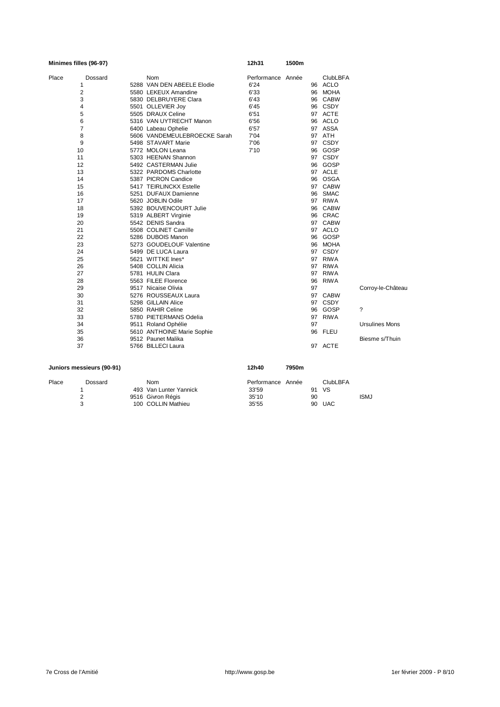| Minimes filles (96-97) |                              | 12h31             | 1500m |    |                 |                       |
|------------------------|------------------------------|-------------------|-------|----|-----------------|-----------------------|
| Place<br>Dossard       | <b>Nom</b>                   | Performance Année |       |    | <b>ClubLBFA</b> |                       |
| 1                      | 5288 VAN DEN ABEELE Elodie   | 6'24              |       |    | 96 ACLO         |                       |
| 2                      | 5580 LEKEUX Amandine         | 6'33              |       |    | 96 MOHA         |                       |
| 3                      | 5830 DELBRUYERE Clara        | 6'43              |       |    | 96 CABW         |                       |
| 4                      | 5501 OLLEVIER Joy            | 6'45              |       |    | 96 CSDY         |                       |
| 5                      | 5505 DRAUX Celine            | 6'51              |       |    | 97 ACTE         |                       |
| 6                      | 5316 VAN UYTRECHT Manon      | 6'56              |       |    | 96 ACLO         |                       |
| $\overline{7}$         | 6400 Labeau Ophelie          | 6'57              |       |    | 97 ASSA         |                       |
| 8                      | 5606 VANDEMEULEBROECKE Sarah | 7'04              |       |    | 97 ATH          |                       |
| 9                      | 5498 STAVART Marie           | 7'06              |       |    | 97 CSDY         |                       |
| 10                     | 5772 MOLON Leana             | 7'10              |       |    | 96 GOSP         |                       |
| 11                     | 5303 HEENAN Shannon          |                   |       |    | 97 CSDY         |                       |
| 12                     | 5492 CASTERMAN Julie         |                   |       |    | 96 GOSP         |                       |
| 13                     | 5322 PARDOMS Charlotte       |                   |       |    | 97 ACLE         |                       |
| 14                     | 5387 PICRON Candice          |                   |       |    | 96 OSGA         |                       |
| 15                     | 5417 TEIRLINCKX Estelle      |                   |       |    | 97 CABW         |                       |
| 16                     | 5251 DUFAUX Damienne         |                   |       |    | 96 SMAC         |                       |
| 17                     | 5620 JOBLIN Odile            |                   |       |    | 97 RIWA         |                       |
| 18                     | 5392 BOUVENCOURT Julie       |                   |       |    | 96 CABW         |                       |
| 19                     | 5319 ALBERT Virginie         |                   |       |    | 96 CRAC         |                       |
| 20                     | 5542 DENIS Sandra            |                   |       |    | 97 CABW         |                       |
| 21                     | 5508 COLINET Camille         |                   |       |    | 97 ACLO         |                       |
| 22                     | 5286 DUBOIS Manon            |                   |       |    | 96 GOSP         |                       |
| 23                     | 5273 GOUDELOUF Valentine     |                   |       |    | 96 MOHA         |                       |
| 24                     | 5499 DE LUCA Laura           |                   |       |    | 97 CSDY         |                       |
| 25                     | 5621 WITTKE Ines*            |                   |       |    | 97 RIWA         |                       |
| 26                     | 5408 COLLIN Alicia           |                   |       |    | 97 RIWA         |                       |
| 27                     | 5781 HULIN Clara             |                   |       |    | 97 RIWA         |                       |
| 28                     | 5563 FILEE Florence          |                   |       |    | 96 RIWA         |                       |
| 29                     | 9517 Nicaise Olivia          |                   |       | 97 |                 | Corroy-le-Château     |
| 30                     | 5276 ROUSSEAUX Laura         |                   |       |    | 97 CABW         |                       |
| 31                     | 5298 GILLAIN Alice           |                   |       |    | 97 CSDY         |                       |
| 32                     | 5850 RAHIR Celine            |                   |       |    | 96 GOSP         | ?                     |
| 33                     | 5780 PIETERMANS Odelia       |                   |       |    | 97 RIWA         |                       |
| 34                     | 9511 Roland Ophélie          |                   |       | 97 |                 | <b>Ursulines Mons</b> |
| 35                     | 5610 ANTHOINE Marie Sophie   |                   |       |    | 96 FLEU         |                       |
| 36                     | 9512 Paunet Malika           |                   |       |    |                 | Biesme s/Thuin        |
| 37                     | 5766 BILLECI Laura           |                   |       |    | 97 ACTE         |                       |

|       | Juniors messieurs (90-91) |                        | 12h40             | 7950m |    |                 |             |
|-------|---------------------------|------------------------|-------------------|-------|----|-----------------|-------------|
| Place | Dossard                   | <b>Nom</b>             | Performance Année |       |    | <b>ClubLBFA</b> |             |
|       |                           | 493 Van Lunter Yannick | 33'59             |       | 91 | - VS            |             |
|       |                           | 9516 Givron Régis      | 35'10             |       | 90 |                 | <b>ISMJ</b> |
|       |                           | 100 COLLIN Mathieu     | 35'55             |       | 90 | <b>UAC</b>      |             |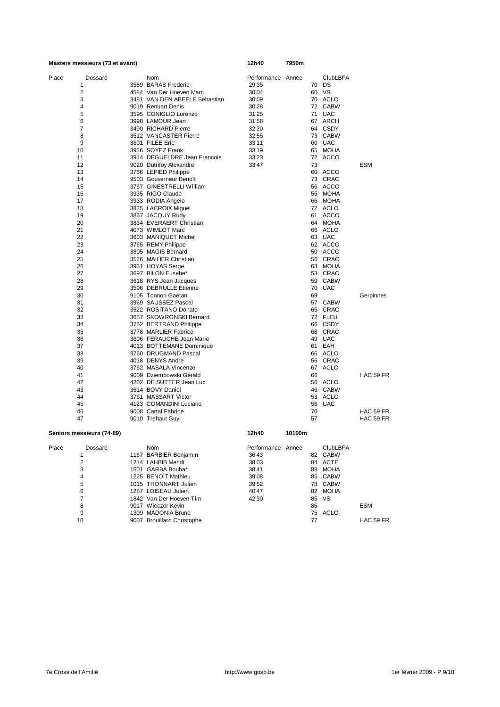| Masters messieurs (73 et avant) |                               | 12h40             | 7950m  |    |                 |                  |
|---------------------------------|-------------------------------|-------------------|--------|----|-----------------|------------------|
| Dossard<br>Place                | Nom                           | Performance Année |        |    | <b>ClubLBFA</b> |                  |
| 1                               | 3589 BARAS Frederic           | 29'35             |        |    | 70 DS           |                  |
| 2                               | 4584 Van Der Hoeven Marc      | 30'04             |        |    | 60 VS           |                  |
| 3                               | 3481 VAN DEN ABEELE Sebastian | 30'09             |        |    | 70 ACLO         |                  |
| 4                               | 9019 Renuart Denis            | 30'28             |        |    | 72 CABW         |                  |
| 5                               | 3595 CONIGLIO Lorenzo         | 31'25             |        | 71 | <b>UAC</b>      |                  |
| 6                               | 3990 LAMOUR Jean              | 31'58             |        |    | 67 ARCH         |                  |
| 7                               | 3490 RICHARD Pierre           | 32'30             |        |    | 64 CSDY         |                  |
| 8                               | 3512 VANCASTER Pierre         | 32'55             |        |    | 73 CABW         |                  |
| 9                               | 3601 FILEE Eric               | 33'11             |        |    | 60 UAC          |                  |
| 10                              | 3936 SOYEZ Frank              | 33'19             |        |    | 65 MOHA         |                  |
| 11                              | 3914 DEGUELDRE Jean Francois  | 33'23             |        |    | 72 ACCO         |                  |
| 12                              | 9020 Dutrifoy Alexandre       | 33'47             |        | 73 |                 | <b>ESM</b>       |
| 13                              | 3766 LEPIED Philippe          |                   |        |    | 60 ACCO         |                  |
| 14                              | 9503 Gouverneur Benoît        |                   |        |    | 73 CRAC         |                  |
| 15                              | 3767 GINESTRELLI William      |                   |        |    | 56 ACCO         |                  |
| 16                              | 3935 RIGO Claude              |                   |        |    | 55 MOHA         |                  |
| 17                              | 3933 RODIA Angelo             |                   |        |    | 66 MOHA         |                  |
| 18                              | 3825 LACROIX Miguel           |                   |        |    | 72 ACLO         |                  |
| 19                              | 3867 JACQUY Rudy              |                   |        |    | 61 ACCO         |                  |
| 20                              | 3834 EVERAERT Christian       |                   |        |    | 64 MOHA         |                  |
| 21                              | 4073 WIMLOT Marc              |                   |        |    | 66 ACLO         |                  |
| 22                              | 3603 MANIQUET Michel          |                   |        |    | 63 UAC          |                  |
| 23                              | 3765 REMY Philippe            |                   |        |    | 62 ACCO         |                  |
| 24                              | 3805 MAGIS Bernard            |                   |        |    | 50 ACCO         |                  |
| 25                              | 3526 MAILIER Christian        |                   |        |    | 56 CRAC         |                  |
| 26                              | 3931 HOYAS Serge              |                   |        |    | 63 MOHA         |                  |
| 27                              | 3697 BILON Eusebe*            |                   |        |    | 53 CRAC         |                  |
| 28                              | 3618 RYS Jean Jacques         |                   |        |    | 59 CABW         |                  |
| 29                              | 3596 DEBRULLE Etienne         |                   |        |    | 70 UAC          |                  |
| 30                              | 9105 Tonnon Gaetan            |                   |        | 69 |                 | Gerpinnes        |
| 31                              | 3969 SAUSSEZ Pascal           |                   |        |    | 57 CABW         |                  |
| 32                              | 3522 ROSITANO Donato          |                   |        |    | 65 CRAC         |                  |
| 33                              | 3657 SKOWRONSKI Bernard       |                   |        |    | 72 FLEU         |                  |
| 34                              | 3752 BERTRAND Philippe        |                   |        |    | 66 CSDY         |                  |
| 35                              | 3778 MARLIER Fabrice          |                   |        |    | 68 CRAC         |                  |
| 36                              | 3606 FERAUCHE Jean Marie      |                   |        |    | 49 UAC          |                  |
| 37                              | 4013 BOTTEMANE Dominique      |                   |        |    | 61 EAH          |                  |
| 38                              | 3760 DRUGMAND Pascal          |                   |        |    | 66 ACLO         |                  |
| 39                              | 4018 DENYS Andre              |                   |        |    | 56 CRAC         |                  |
| 40                              | 3762 MASALA Vincenzo          |                   |        |    | 67 ACLO         |                  |
| 41                              | 9009 Dziembowski Gérald       |                   |        | 66 |                 | HAC 59 FR        |
| 42                              | 4202 DE SUTTER Jean Luc       |                   |        |    | 56 ACLO         |                  |
| 43                              | 3614 BOVY Daniel              |                   |        |    | 46 CABW         |                  |
| 44                              | 3761 MASSART Victor           |                   |        |    | 53 ACLO         |                  |
| 45                              | 4123 COMANDINI Luciano        |                   |        | 56 | UAC             |                  |
| 46                              | 9008 Cartal Fabrice           |                   |        | 70 |                 | <b>HAC 59 FR</b> |
| 47                              | 9010 Trehaut Guy              |                   |        | 57 |                 | HAC 59 FR        |
| Seniors messieurs (74-89)       |                               | 12h40             | 10100m |    |                 |                  |
| Place<br>Dossard                | Nom                           | Performance Année |        |    | <b>ClubLBFA</b> |                  |
| 1                               | 1167 BARBIER Benjamin         | 36'43             |        |    | 82 CABW         |                  |
| $\overline{2}$                  | 1214 LAHBIB Mehdi             | 38'03             |        |    | 84 ACTE         |                  |

 $\begin{array}{cccccccc} 2 & 1214 & \text{LAHBIB Method} & & & 38'03 & & 84 & \text{ACTE} \\ 3 & 1501 & \text{GARBA Bouba*} & & & 38'41 & & 88 & \text{MOHA} \\ 4 & 1225 & \text{BENOTT Mathieu} & & 39'08 & & 85 & \text{CABW} \\ 5 & 1015 & \text{THONNART Julian} & & 39'52 & & 78 & \text{CABW} \\ 6 & 1287 & \text{LOISEAU Julin} & & 40'47 & & 82 & \text{MOHA} \\ 7 & 1842 & \$ 4 1225 BENOIT Mathieu 39'08 85 CABW 5 1015 THONNART Julien 39'52 78 CABW 6 1287 LOISEAU Julien 40'47 82 MOHA 7 1842 Van Der Hoeven Tim 42'30 85 VS

9 1309 MADONIA Bruno 75 ACLO

8 9017 Wieczor Kevin 86 ESM

10 10 1000 M/L DOM/L DATE:<br>10 9007 Brouillard Christophe 19007 77 HAC 59 FR